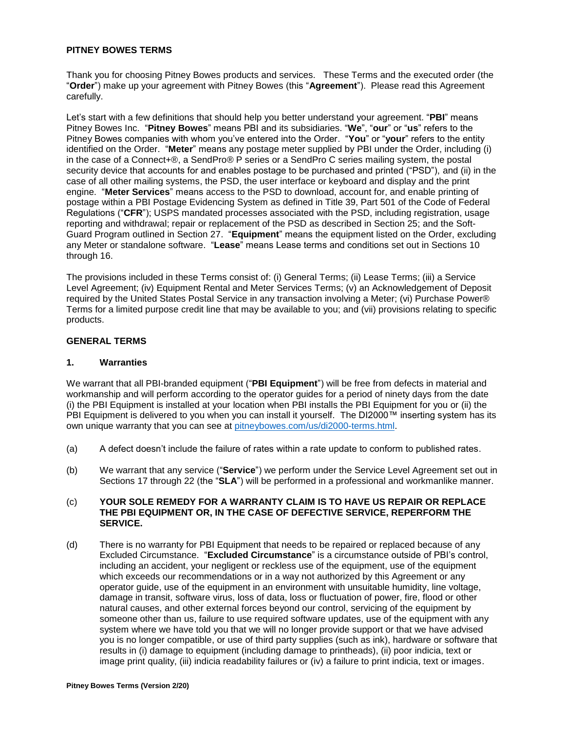#### **PITNEY BOWES TERMS**

Thank you for choosing Pitney Bowes products and services. These Terms and the executed order (the "**Order**") make up your agreement with Pitney Bowes (this "**Agreement**"). Please read this Agreement carefully.

Let's start with a few definitions that should help you better understand your agreement. "**PBI**" means Pitney Bowes Inc. "**Pitney Bowes**" means PBI and its subsidiaries. "**We**", "**our**" or "**us**" refers to the Pitney Bowes companies with whom you've entered into the Order. "**You**" or "**your**" refers to the entity identified on the Order. "**Meter**" means any postage meter supplied by PBI under the Order, including (i) in the case of a Connect+®, a SendPro® P series or a SendPro C series mailing system, the postal security device that accounts for and enables postage to be purchased and printed ("PSD"), and (ii) in the case of all other mailing systems, the PSD, the user interface or keyboard and display and the print engine. "**Meter Services**" means access to the PSD to download, account for, and enable printing of postage within a PBI Postage Evidencing System as defined in Title 39, Part 501 of the Code of Federal Regulations ("**CFR**"); USPS mandated processes associated with the PSD, including registration, usage reporting and withdrawal; repair or replacement of the PSD as described in Section 25; and the Soft-Guard Program outlined in Section 27. "**Equipment**" means the equipment listed on the Order, excluding any Meter or standalone software. "**Lease**" means Lease terms and conditions set out in Sections 10 through 16.

The provisions included in these Terms consist of: (i) General Terms; (ii) Lease Terms; (iii) a Service Level Agreement; (iv) Equipment Rental and Meter Services Terms; (v) an Acknowledgement of Deposit required by the United States Postal Service in any transaction involving a Meter; (vi) Purchase Power® Terms for a limited purpose credit line that may be available to you; and (vii) provisions relating to specific products.

## **GENERAL TERMS**

#### **1. Warranties**

We warrant that all PBI-branded equipment ("**PBI Equipment**") will be free from defects in material and workmanship and will perform according to the operator guides for a period of ninety days from the date (i) the PBI Equipment is installed at your location when PBI installs the PBI Equipment for you or (ii) the PBI Equipment is delivered to you when you can install it yourself. The DI2000™ inserting system has its own unique warranty that you can see at [pitneybowes.com/us/di2000-terms.html.](http://www.pitneybowes.com/us/di2000-terms.html)

- (a) A defect doesn't include the failure of rates within a rate update to conform to published rates.
- (b) We warrant that any service ("**Service**") we perform under the Service Level Agreement set out in Sections 17 through 22 (the "**SLA**") will be performed in a professional and workmanlike manner.

#### (c) **YOUR SOLE REMEDY FOR A WARRANTY CLAIM IS TO HAVE US REPAIR OR REPLACE THE PBI EQUIPMENT OR, IN THE CASE OF DEFECTIVE SERVICE, REPERFORM THE SERVICE.**

(d) There is no warranty for PBI Equipment that needs to be repaired or replaced because of any Excluded Circumstance. "**Excluded Circumstance**" is a circumstance outside of PBI's control, including an accident, your negligent or reckless use of the equipment, use of the equipment which exceeds our recommendations or in a way not authorized by this Agreement or any operator guide, use of the equipment in an environment with unsuitable humidity, line voltage, damage in transit, software virus, loss of data, loss or fluctuation of power, fire, flood or other natural causes, and other external forces beyond our control, servicing of the equipment by someone other than us, failure to use required software updates, use of the equipment with any system where we have told you that we will no longer provide support or that we have advised you is no longer compatible, or use of third party supplies (such as ink), hardware or software that results in (i) damage to equipment (including damage to printheads), (ii) poor indicia, text or image print quality, (iii) indicia readability failures or (iv) a failure to print indicia, text or images.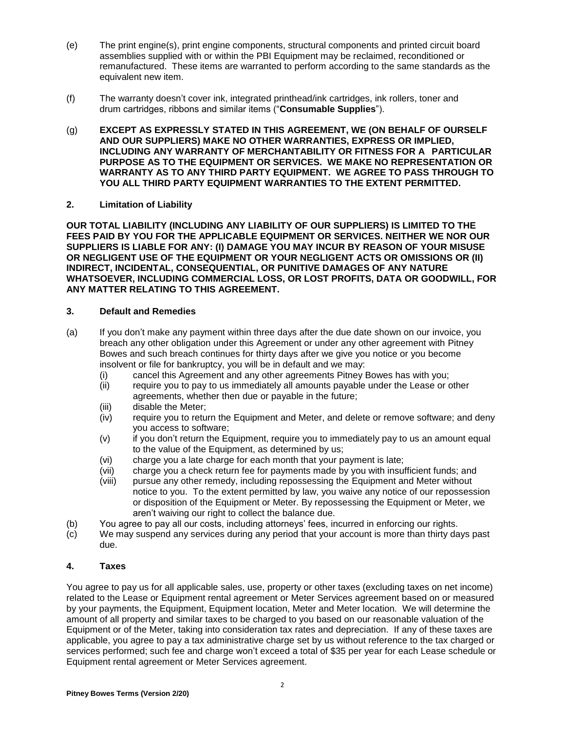- (e) The print engine(s), print engine components, structural components and printed circuit board assemblies supplied with or within the PBI Equipment may be reclaimed, reconditioned or remanufactured. These items are warranted to perform according to the same standards as the equivalent new item.
- (f) The warranty doesn't cover ink, integrated printhead/ink cartridges, ink rollers, toner and drum cartridges, ribbons and similar items ("**Consumable Supplies**").
- (g) **EXCEPT AS EXPRESSLY STATED IN THIS AGREEMENT, WE (ON BEHALF OF OURSELF AND OUR SUPPLIERS) MAKE NO OTHER WARRANTIES, EXPRESS OR IMPLIED, INCLUDING ANY WARRANTY OF MERCHANTABILITY OR FITNESS FOR A PARTICULAR PURPOSE AS TO THE EQUIPMENT OR SERVICES. WE MAKE NO REPRESENTATION OR WARRANTY AS TO ANY THIRD PARTY EQUIPMENT. WE AGREE TO PASS THROUGH TO YOU ALL THIRD PARTY EQUIPMENT WARRANTIES TO THE EXTENT PERMITTED.**

### **2. Limitation of Liability**

**OUR TOTAL LIABILITY (INCLUDING ANY LIABILITY OF OUR SUPPLIERS) IS LIMITED TO THE FEES PAID BY YOU FOR THE APPLICABLE EQUIPMENT OR SERVICES. NEITHER WE NOR OUR SUPPLIERS IS LIABLE FOR ANY: (I) DAMAGE YOU MAY INCUR BY REASON OF YOUR MISUSE OR NEGLIGENT USE OF THE EQUIPMENT OR YOUR NEGLIGENT ACTS OR OMISSIONS OR (II) INDIRECT, INCIDENTAL, CONSEQUENTIAL, OR PUNITIVE DAMAGES OF ANY NATURE WHATSOEVER, INCLUDING COMMERCIAL LOSS, OR LOST PROFITS, DATA OR GOODWILL, FOR ANY MATTER RELATING TO THIS AGREEMENT.**

### **3. Default and Remedies**

- (a) If you don't make any payment within three days after the due date shown on our invoice, you breach any other obligation under this Agreement or under any other agreement with Pitney Bowes and such breach continues for thirty days after we give you notice or you become insolvent or file for bankruptcy, you will be in default and we may:
	- (i) cancel this Agreement and any other agreements Pitney Bowes has with you;
	- (ii) require you to pay to us immediately all amounts payable under the Lease or other agreements, whether then due or payable in the future;
	- (iii) disable the Meter;
	- (iv) require you to return the Equipment and Meter, and delete or remove software; and deny you access to software;
	- (v) if you don't return the Equipment, require you to immediately pay to us an amount equal to the value of the Equipment, as determined by us;
	- (vi) charge you a late charge for each month that your payment is late;
	- (vii) charge you a check return fee for payments made by you with insufficient funds; and
	- (viii) pursue any other remedy, including repossessing the Equipment and Meter without notice to you. To the extent permitted by law, you waive any notice of our repossession or disposition of the Equipment or Meter. By repossessing the Equipment or Meter, we aren't waiving our right to collect the balance due.
- (b) You agree to pay all our costs, including attorneys' fees, incurred in enforcing our rights.
- (c) We may suspend any services during any period that your account is more than thirty days past due.

#### **4. Taxes**

You agree to pay us for all applicable sales, use, property or other taxes (excluding taxes on net income) related to the Lease or Equipment rental agreement or Meter Services agreement based on or measured by your payments, the Equipment, Equipment location, Meter and Meter location. We will determine the amount of all property and similar taxes to be charged to you based on our reasonable valuation of the Equipment or of the Meter, taking into consideration tax rates and depreciation. If any of these taxes are applicable, you agree to pay a tax administrative charge set by us without reference to the tax charged or services performed; such fee and charge won't exceed a total of \$35 per year for each Lease schedule or Equipment rental agreement or Meter Services agreement.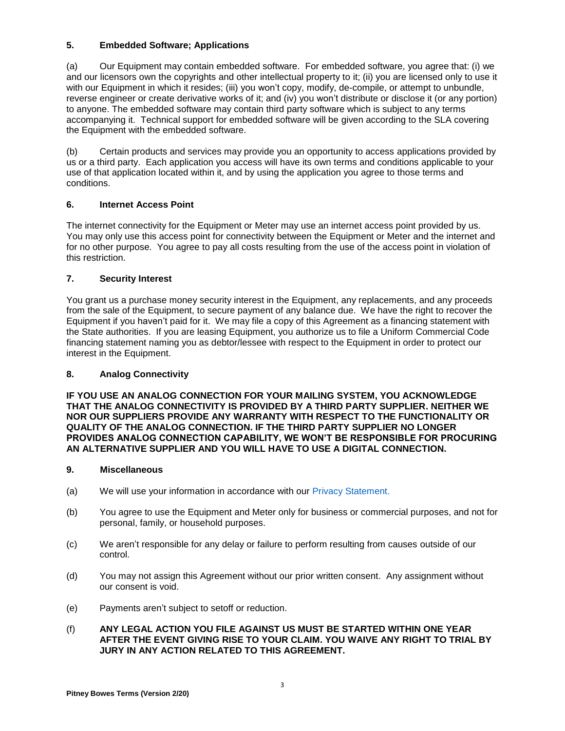## **5. Embedded Software; Applications**

(a) Our Equipment may contain embedded software. For embedded software, you agree that: (i) we and our licensors own the copyrights and other intellectual property to it; (ii) you are licensed only to use it with our Equipment in which it resides; (iii) you won't copy, modify, de-compile, or attempt to unbundle, reverse engineer or create derivative works of it; and (iv) you won't distribute or disclose it (or any portion) to anyone. The embedded software may contain third party software which is subject to any terms accompanying it. Technical support for embedded software will be given according to the SLA covering the Equipment with the embedded software.

(b) Certain products and services may provide you an opportunity to access applications provided by us or a third party. Each application you access will have its own terms and conditions applicable to your use of that application located within it, and by using the application you agree to those terms and conditions.

# **6. Internet Access Point**

The internet connectivity for the Equipment or Meter may use an internet access point provided by us. You may only use this access point for connectivity between the Equipment or Meter and the internet and for no other purpose. You agree to pay all costs resulting from the use of the access point in violation of this restriction.

# **7. Security Interest**

You grant us a purchase money security interest in the Equipment, any replacements, and any proceeds from the sale of the Equipment, to secure payment of any balance due. We have the right to recover the Equipment if you haven't paid for it. We may file a copy of this Agreement as a financing statement with the State authorities. If you are leasing Equipment, you authorize us to file a Uniform Commercial Code financing statement naming you as debtor/lessee with respect to the Equipment in order to protect our interest in the Equipment.

## **8. Analog Connectivity**

**IF YOU USE AN ANALOG CONNECTION FOR YOUR MAILING SYSTEM, YOU ACKNOWLEDGE THAT THE ANALOG CONNECTIVITY IS PROVIDED BY A THIRD PARTY SUPPLIER. NEITHER WE NOR OUR SUPPLIERS PROVIDE ANY WARRANTY WITH RESPECT TO THE FUNCTIONALITY OR QUALITY OF THE ANALOG CONNECTION. IF THE THIRD PARTY SUPPLIER NO LONGER PROVIDES ANALOG CONNECTION CAPABILITY, WE WON'T BE RESPONSIBLE FOR PROCURING AN ALTERNATIVE SUPPLIER AND YOU WILL HAVE TO USE A DIGITAL CONNECTION.**

## **9. Miscellaneous**

- (a) We will use your information in accordance with our [Privacy Statement.](http://www.pitneybowes.com/us/legal/privacy-statement.html)
- (b) You agree to use the Equipment and Meter only for business or commercial purposes, and not for personal, family, or household purposes.
- (c) We aren't responsible for any delay or failure to perform resulting from causes outside of our control.
- (d) You may not assign this Agreement without our prior written consent. Any assignment without our consent is void.
- (e) Payments aren't subject to setoff or reduction.
- (f) **ANY LEGAL ACTION YOU FILE AGAINST US MUST BE STARTED WITHIN ONE YEAR AFTER THE EVENT GIVING RISE TO YOUR CLAIM. YOU WAIVE ANY RIGHT TO TRIAL BY JURY IN ANY ACTION RELATED TO THIS AGREEMENT.**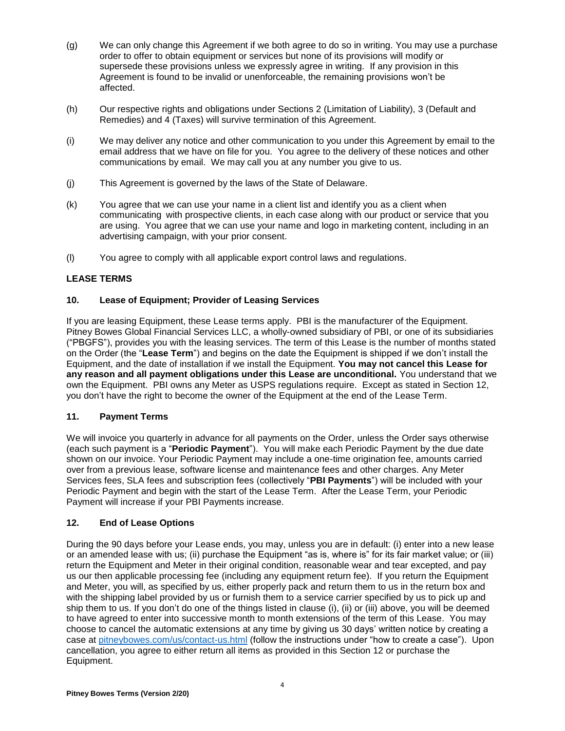- (g) We can only change this Agreement if we both agree to do so in writing. You may use a purchase order to offer to obtain equipment or services but none of its provisions will modify or supersede these provisions unless we expressly agree in writing. If any provision in this Agreement is found to be invalid or unenforceable, the remaining provisions won't be affected.
- (h) Our respective rights and obligations under Sections 2 (Limitation of Liability), 3 (Default and Remedies) and 4 (Taxes) will survive termination of this Agreement.
- (i) We may deliver any notice and other communication to you under this Agreement by email to the email address that we have on file for you. You agree to the delivery of these notices and other communications by email. We may call you at any number you give to us.
- (j) This Agreement is governed by the laws of the State of Delaware.
- (k) You agree that we can use your name in a client list and identify you as a client when communicating with prospective clients, in each case along with our product or service that you are using. You agree that we can use your name and logo in marketing content, including in an advertising campaign, with your prior consent.
- (l) You agree to comply with all applicable export control laws and regulations.

## **LEASE TERMS**

## **10. Lease of Equipment; Provider of Leasing Services**

If you are leasing Equipment, these Lease terms apply. PBI is the manufacturer of the Equipment. Pitney Bowes Global Financial Services LLC, a wholly-owned subsidiary of PBI, or one of its subsidiaries ("PBGFS"), provides you with the leasing services. The term of this Lease is the number of months stated on the Order (the "**Lease Term**") and begins on the date the Equipment is shipped if we don't install the Equipment, and the date of installation if we install the Equipment. **You may not cancel this Lease for any reason and all payment obligations under this Lease are unconditional.** You understand that we own the Equipment. PBI owns any Meter as USPS regulations require. Except as stated in Section 12, you don't have the right to become the owner of the Equipment at the end of the Lease Term.

#### **11. Payment Terms**

We will invoice you quarterly in advance for all payments on the Order, unless the Order says otherwise (each such payment is a "**Periodic Payment**"). You will make each Periodic Payment by the due date shown on our invoice. Your Periodic Payment may include a one-time origination fee, amounts carried over from a previous lease, software license and maintenance fees and other charges. Any Meter Services fees, SLA fees and subscription fees (collectively "**PBI Payments**") will be included with your Periodic Payment and begin with the start of the Lease Term. After the Lease Term, your Periodic Payment will increase if your PBI Payments increase.

## **12. End of Lease Options**

During the 90 days before your Lease ends, you may, unless you are in default: (i) enter into a new lease or an amended lease with us; (ii) purchase the Equipment "as is, where is" for its fair market value; or (iii) return the Equipment and Meter in their original condition, reasonable wear and tear excepted, and pay us our then applicable processing fee (including any equipment return fee). If you return the Equipment and Meter, you will, as specified by us, either properly pack and return them to us in the return box and with the shipping label provided by us or furnish them to a service carrier specified by us to pick up and ship them to us. If you don't do one of the things listed in clause (i), (ii) or (iii) above, you will be deemed to have agreed to enter into successive month to month extensions of the term of this Lease. You may choose to cancel the automatic extensions at any time by giving us 30 days' written notice by creating a case at [pitneybowes.com/us/contact-us.html](http://www.pitneybowes.com/us/contact-us.html) (follow the instructions under "how to create a case"). Upon cancellation, you agree to either return all items as provided in this Section 12 or purchase the Equipment.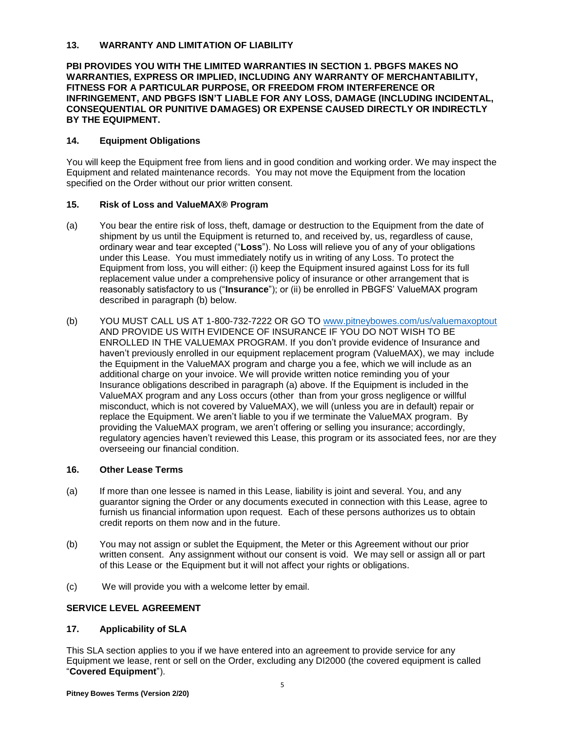### **13. WARRANTY AND LIMITATION OF LIABILITY**

#### **PBI PROVIDES YOU WITH THE LIMITED WARRANTIES IN SECTION 1. PBGFS MAKES NO WARRANTIES, EXPRESS OR IMPLIED, INCLUDING ANY WARRANTY OF MERCHANTABILITY, FITNESS FOR A PARTICULAR PURPOSE, OR FREEDOM FROM INTERFERENCE OR INFRINGEMENT, AND PBGFS ISN'T LIABLE FOR ANY LOSS, DAMAGE (INCLUDING INCIDENTAL, CONSEQUENTIAL OR PUNITIVE DAMAGES) OR EXPENSE CAUSED DIRECTLY OR INDIRECTLY BY THE EQUIPMENT.**

### **14. Equipment Obligations**

You will keep the Equipment free from liens and in good condition and working order. We may inspect the Equipment and related maintenance records. You may not move the Equipment from the location specified on the Order without our prior written consent.

### **15. Risk of Loss and ValueMAX® Program**

- (a) You bear the entire risk of loss, theft, damage or destruction to the Equipment from the date of shipment by us until the Equipment is returned to, and received by, us, regardless of cause, ordinary wear and tear excepted ("**Loss**"). No Loss will relieve you of any of your obligations under this Lease. You must immediately notify us in writing of any Loss. To protect the Equipment from loss, you will either: (i) keep the Equipment insured against Loss for its full replacement value under a comprehensive policy of insurance or other arrangement that is reasonably satisfactory to us ("**Insurance**"); or (ii) be enrolled in PBGFS' ValueMAX program described in paragraph (b) below.
- (b) YOU MUST CALL US AT 1-800-732-7222 OR GO TO [www.pitneybowes.com/us/valuemaxoptout](http://www.pitneybowes.com/us/valuemaxoptout) AND PROVIDE US WITH EVIDENCE OF INSURANCE IF YOU DO NOT WISH TO BE ENROLLED IN THE VALUEMAX PROGRAM. If you don't provide evidence of Insurance and haven't previously enrolled in our equipment replacement program (ValueMAX), we may include the Equipment in the ValueMAX program and charge you a fee, which we will include as an additional charge on your invoice. We will provide written notice reminding you of your Insurance obligations described in paragraph (a) above. If the Equipment is included in the ValueMAX program and any Loss occurs (other than from your gross negligence or willful misconduct, which is not covered by ValueMAX), we will (unless you are in default) repair or replace the Equipment. We aren't liable to you if we terminate the ValueMAX program. By providing the ValueMAX program, we aren't offering or selling you insurance; accordingly, regulatory agencies haven't reviewed this Lease, this program or its associated fees, nor are they overseeing our financial condition.

#### **16. Other Lease Terms**

- (a) If more than one lessee is named in this Lease, liability is joint and several. You, and any guarantor signing the Order or any documents executed in connection with this Lease, agree to furnish us financial information upon request. Each of these persons authorizes us to obtain credit reports on them now and in the future.
- (b) You may not assign or sublet the Equipment, the Meter or this Agreement without our prior written consent. Any assignment without our consent is void. We may sell or assign all or part of this Lease or the Equipment but it will not affect your rights or obligations.
- (c) We will provide you with a welcome letter by email.

## **SERVICE LEVEL AGREEMENT**

## **17. Applicability of SLA**

This SLA section applies to you if we have entered into an agreement to provide service for any Equipment we lease, rent or sell on the Order, excluding any DI2000 (the covered equipment is called "**Covered Equipment**").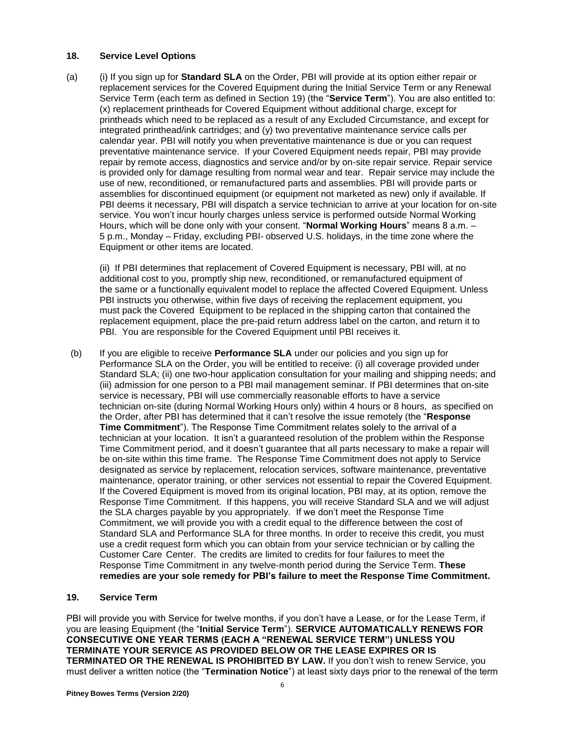### **18. Service Level Options**

(a) (i) If you sign up for **Standard SLA** on the Order, PBI will provide at its option either repair or replacement services for the Covered Equipment during the Initial Service Term or any Renewal Service Term (each term as defined in Section 19) (the "**Service Term**"). You are also entitled to: (x) replacement printheads for Covered Equipment without additional charge, except for printheads which need to be replaced as a result of any Excluded Circumstance, and except for integrated printhead/ink cartridges; and (y) two preventative maintenance service calls per calendar year. PBI will notify you when preventative maintenance is due or you can request preventative maintenance service. If your Covered Equipment needs repair, PBI may provide repair by remote access, diagnostics and service and/or by on-site repair service. Repair service is provided only for damage resulting from normal wear and tear. Repair service may include the use of new, reconditioned, or remanufactured parts and assemblies. PBI will provide parts or assemblies for discontinued equipment (or equipment not marketed as new) only if available. If PBI deems it necessary, PBI will dispatch a service technician to arrive at your location for on-site service. You won't incur hourly charges unless service is performed outside Normal Working Hours, which will be done only with your consent. "**Normal Working Hours**" means 8 a.m. – 5 p.m., Monday – Friday, excluding PBI- observed U.S. holidays, in the time zone where the Equipment or other items are located.

(ii) If PBI determines that replacement of Covered Equipment is necessary, PBI will, at no additional cost to you, promptly ship new, reconditioned, or remanufactured equipment of the same or a functionally equivalent model to replace the affected Covered Equipment. Unless PBI instructs you otherwise, within five days of receiving the replacement equipment, you must pack the Covered Equipment to be replaced in the shipping carton that contained the replacement equipment, place the pre-paid return address label on the carton, and return it to PBI. You are responsible for the Covered Equipment until PBI receives it.

(b) If you are eligible to receive **Performance SLA** under our policies and you sign up for Performance SLA on the Order, you will be entitled to receive: (i) all coverage provided under Standard SLA; (ii) one two-hour application consultation for your mailing and shipping needs; and (iii) admission for one person to a PBI mail management seminar. If PBI determines that on-site service is necessary, PBI will use commercially reasonable efforts to have a service technician on-site (during Normal Working Hours only) within 4 hours or 8 hours, as specified on the Order, after PBI has determined that it can't resolve the issue remotely (the "**Response Time Commitment**"). The Response Time Commitment relates solely to the arrival of a technician at your location. It isn't a guaranteed resolution of the problem within the Response Time Commitment period, and it doesn't guarantee that all parts necessary to make a repair will be on-site within this time frame. The Response Time Commitment does not apply to Service designated as service by replacement, relocation services, software maintenance, preventative maintenance, operator training, or other services not essential to repair the Covered Equipment. If the Covered Equipment is moved from its original location, PBI may, at its option, remove the Response Time Commitment. If this happens, you will receive Standard SLA and we will adjust the SLA charges payable by you appropriately. If we don't meet the Response Time Commitment, we will provide you with a credit equal to the difference between the cost of Standard SLA and Performance SLA for three months. In order to receive this credit, you must use a credit request form which you can obtain from your service technician or by calling the Customer Care Center. The credits are limited to credits for four failures to meet the Response Time Commitment in any twelve-month period during the Service Term. **These remedies are your sole remedy for PBI's failure to meet the Response Time Commitment.**

## **19. Service Term**

PBI will provide you with Service for twelve months, if you don't have a Lease, or for the Lease Term, if you are leasing Equipment (the "**Initial Service Term**"). **SERVICE AUTOMATICALLY RENEWS FOR CONSECUTIVE ONE YEAR TERMS (EACH A "RENEWAL SERVICE TERM") UNLESS YOU TERMINATE YOUR SERVICE AS PROVIDED BELOW OR THE LEASE EXPIRES OR IS TERMINATED OR THE RENEWAL IS PROHIBITED BY LAW.** If you don't wish to renew Service, you must deliver a written notice (the "**Termination Notice**") at least sixty days prior to the renewal of the term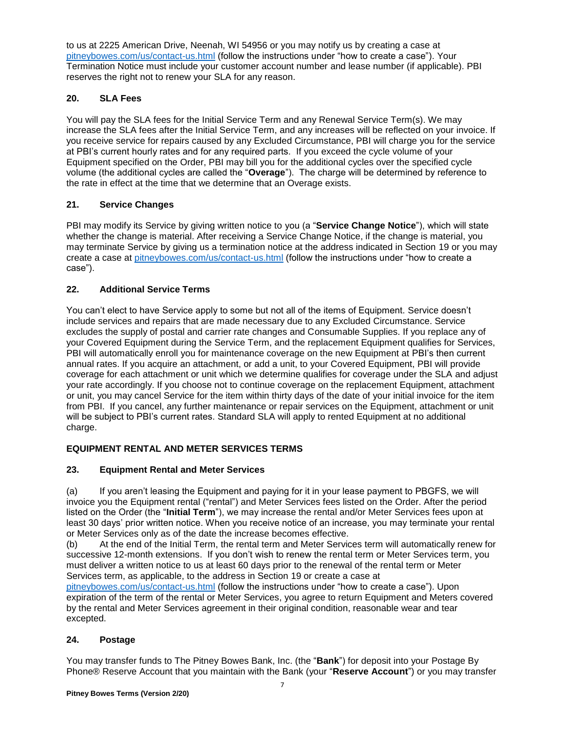to us at 2225 American Drive, Neenah, WI 54956 or you may notify us by creating a case at [pitneybowes.com/us/contact-us.html](http://www.pitneybowes.com/us/contact-us.html) (follow the instructions under "how to create a case"). Your Termination Notice must include your customer account number and lease number (if applicable). PBI reserves the right not to renew your SLA for any reason.

# **20. SLA Fees**

You will pay the SLA fees for the Initial Service Term and any Renewal Service Term(s). We may increase the SLA fees after the Initial Service Term, and any increases will be reflected on your invoice. If you receive service for repairs caused by any Excluded Circumstance, PBI will charge you for the service at PBI's current hourly rates and for any required parts. If you exceed the cycle volume of your Equipment specified on the Order, PBI may bill you for the additional cycles over the specified cycle volume (the additional cycles are called the "**Overage**"). The charge will be determined by reference to the rate in effect at the time that we determine that an Overage exists.

# **21. Service Changes**

PBI may modify its Service by giving written notice to you (a "**Service Change Notice**"), which will state whether the change is material. After receiving a Service Change Notice, if the change is material, you may terminate Service by giving us a termination notice at the address indicated in Section 19 or you may create a case at [pitneybowes.com/us/contact-us.html](http://www.pitneybowes.com/us/contact-us.html) (follow the instructions under "how to create a case").

# **22. Additional Service Terms**

You can't elect to have Service apply to some but not all of the items of Equipment. Service doesn't include services and repairs that are made necessary due to any Excluded Circumstance. Service excludes the supply of postal and carrier rate changes and Consumable Supplies. If you replace any of your Covered Equipment during the Service Term, and the replacement Equipment qualifies for Services, PBI will automatically enroll you for maintenance coverage on the new Equipment at PBI's then current annual rates. If you acquire an attachment, or add a unit, to your Covered Equipment, PBI will provide coverage for each attachment or unit which we determine qualifies for coverage under the SLA and adjust your rate accordingly. If you choose not to continue coverage on the replacement Equipment, attachment or unit, you may cancel Service for the item within thirty days of the date of your initial invoice for the item from PBI. If you cancel, any further maintenance or repair services on the Equipment, attachment or unit will be subject to PBI's current rates. Standard SLA will apply to rented Equipment at no additional charge.

# **EQUIPMENT RENTAL AND METER SERVICES TERMS**

## **23. Equipment Rental and Meter Services**

(a) If you aren't leasing the Equipment and paying for it in your lease payment to PBGFS, we will invoice you the Equipment rental ("rental") and Meter Services fees listed on the Order. After the period listed on the Order (the "**Initial Term**"), we may increase the rental and/or Meter Services fees upon at least 30 days' prior written notice. When you receive notice of an increase, you may terminate your rental or Meter Services only as of the date the increase becomes effective.

(b) At the end of the Initial Term, the rental term and Meter Services term will automatically renew for successive 12-month extensions. If you don't wish to renew the rental term or Meter Services term, you must deliver a written notice to us at least 60 days prior to the renewal of the rental term or Meter Services term, as applicable, to the address in Section 19 or create a case at

[pitneybowes.com/us/contact-us.html](http://www.pitneybowes.com/us/contact-us.html) (follow the instructions under "how to create a case"). Upon expiration of the term of the rental or Meter Services, you agree to return Equipment and Meters covered by the rental and Meter Services agreement in their original condition, reasonable wear and tear excepted.

## **24. Postage**

You may transfer funds to The Pitney Bowes Bank, Inc. (the "**Bank**") for deposit into your Postage By Phone® Reserve Account that you maintain with the Bank (your "**Reserve Account**") or you may transfer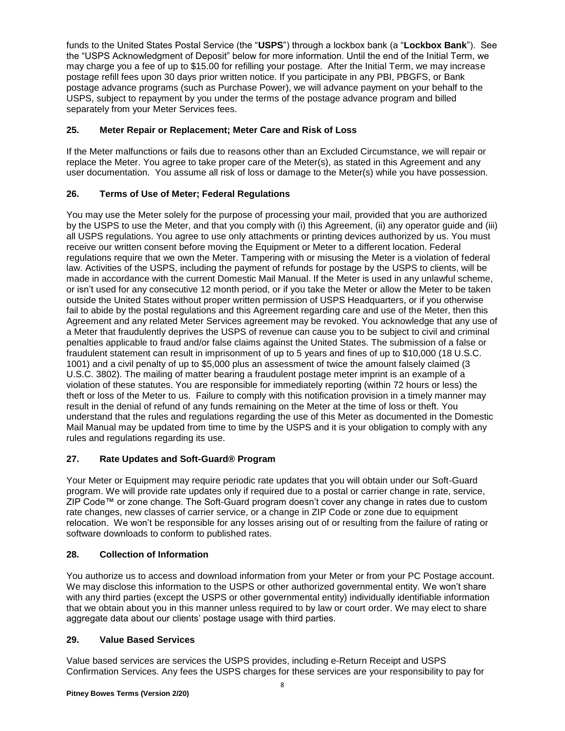funds to the United States Postal Service (the "**USPS**") through a lockbox bank (a "**Lockbox Bank**"). See the "USPS Acknowledgment of Deposit" below for more information. Until the end of the Initial Term, we may charge you a fee of up to \$15.00 for refilling your postage. After the Initial Term, we may increase postage refill fees upon 30 days prior written notice. If you participate in any PBI, PBGFS, or Bank postage advance programs (such as Purchase Power), we will advance payment on your behalf to the USPS, subject to repayment by you under the terms of the postage advance program and billed separately from your Meter Services fees.

# **25. Meter Repair or Replacement; Meter Care and Risk of Loss**

If the Meter malfunctions or fails due to reasons other than an Excluded Circumstance, we will repair or replace the Meter. You agree to take proper care of the Meter(s), as stated in this Agreement and any user documentation. You assume all risk of loss or damage to the Meter(s) while you have possession.

# **26. Terms of Use of Meter; Federal Regulations**

You may use the Meter solely for the purpose of processing your mail, provided that you are authorized by the USPS to use the Meter, and that you comply with (i) this Agreement, (ii) any operator guide and (iii) all USPS regulations. You agree to use only attachments or printing devices authorized by us. You must receive our written consent before moving the Equipment or Meter to a different location. Federal regulations require that we own the Meter. Tampering with or misusing the Meter is a violation of federal law. Activities of the USPS, including the payment of refunds for postage by the USPS to clients, will be made in accordance with the current Domestic Mail Manual. If the Meter is used in any unlawful scheme, or isn't used for any consecutive 12 month period, or if you take the Meter or allow the Meter to be taken outside the United States without proper written permission of USPS Headquarters, or if you otherwise fail to abide by the postal regulations and this Agreement regarding care and use of the Meter, then this Agreement and any related Meter Services agreement may be revoked. You acknowledge that any use of a Meter that fraudulently deprives the USPS of revenue can cause you to be subject to civil and criminal penalties applicable to fraud and/or false claims against the United States. The submission of a false or fraudulent statement can result in imprisonment of up to 5 years and fines of up to \$10,000 (18 U.S.C. 1001) and a civil penalty of up to \$5,000 plus an assessment of twice the amount falsely claimed (3 U.S.C. 3802). The mailing of matter bearing a fraudulent postage meter imprint is an example of a violation of these statutes. You are responsible for immediately reporting (within 72 hours or less) the theft or loss of the Meter to us. Failure to comply with this notification provision in a timely manner may result in the denial of refund of any funds remaining on the Meter at the time of loss or theft. You understand that the rules and regulations regarding the use of this Meter as documented in the Domestic Mail Manual may be updated from time to time by the USPS and it is your obligation to comply with any rules and regulations regarding its use.

# **27. Rate Updates and Soft-Guard® Program**

Your Meter or Equipment may require periodic rate updates that you will obtain under our Soft-Guard program. We will provide rate updates only if required due to a postal or carrier change in rate, service, ZIP Code™ or zone change. The Soft-Guard program doesn't cover any change in rates due to custom rate changes, new classes of carrier service, or a change in ZIP Code or zone due to equipment relocation. We won't be responsible for any losses arising out of or resulting from the failure of rating or software downloads to conform to published rates.

## **28. Collection of Information**

You authorize us to access and download information from your Meter or from your PC Postage account. We may disclose this information to the USPS or other authorized governmental entity. We won't share with any third parties (except the USPS or other governmental entity) individually identifiable information that we obtain about you in this manner unless required to by law or court order. We may elect to share aggregate data about our clients' postage usage with third parties.

## **29. Value Based Services**

Value based services are services the USPS provides, including e-Return Receipt and USPS Confirmation Services. Any fees the USPS charges for these services are your responsibility to pay for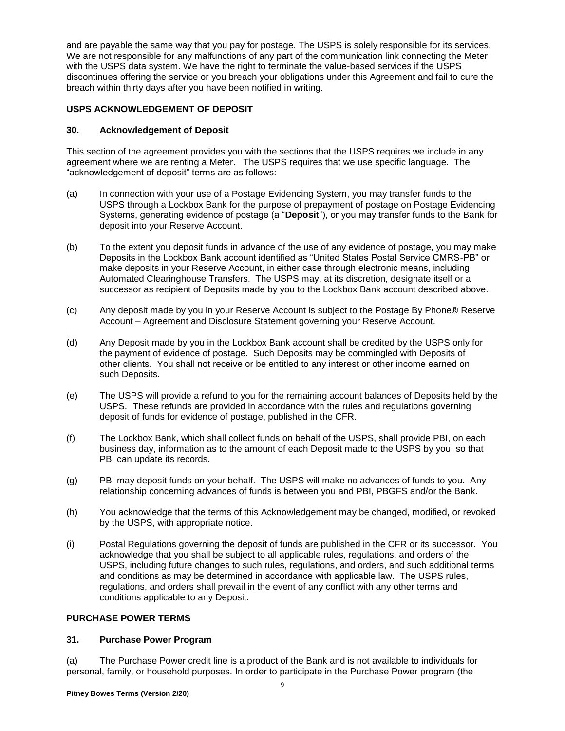and are payable the same way that you pay for postage. The USPS is solely responsible for its services. We are not responsible for any malfunctions of any part of the communication link connecting the Meter with the USPS data system. We have the right to terminate the value-based services if the USPS discontinues offering the service or you breach your obligations under this Agreement and fail to cure the breach within thirty days after you have been notified in writing.

## **USPS ACKNOWLEDGEMENT OF DEPOSIT**

### **30. Acknowledgement of Deposit**

This section of the agreement provides you with the sections that the USPS requires we include in any agreement where we are renting a Meter. The USPS requires that we use specific language. The "acknowledgement of deposit" terms are as follows:

- (a) In connection with your use of a Postage Evidencing System, you may transfer funds to the USPS through a Lockbox Bank for the purpose of prepayment of postage on Postage Evidencing Systems, generating evidence of postage (a "**Deposit**"), or you may transfer funds to the Bank for deposit into your Reserve Account.
- (b) To the extent you deposit funds in advance of the use of any evidence of postage, you may make Deposits in the Lockbox Bank account identified as "United States Postal Service CMRS-PB" or make deposits in your Reserve Account, in either case through electronic means, including Automated Clearinghouse Transfers. The USPS may, at its discretion, designate itself or a successor as recipient of Deposits made by you to the Lockbox Bank account described above.
- (c) Any deposit made by you in your Reserve Account is subject to the Postage By Phone® Reserve Account – Agreement and Disclosure Statement governing your Reserve Account.
- (d) Any Deposit made by you in the Lockbox Bank account shall be credited by the USPS only for the payment of evidence of postage. Such Deposits may be commingled with Deposits of other clients. You shall not receive or be entitled to any interest or other income earned on such Deposits.
- (e) The USPS will provide a refund to you for the remaining account balances of Deposits held by the USPS. These refunds are provided in accordance with the rules and regulations governing deposit of funds for evidence of postage, published in the CFR.
- (f) The Lockbox Bank, which shall collect funds on behalf of the USPS, shall provide PBI, on each business day, information as to the amount of each Deposit made to the USPS by you, so that PBI can update its records.
- (g) PBI may deposit funds on your behalf. The USPS will make no advances of funds to you. Any relationship concerning advances of funds is between you and PBI, PBGFS and/or the Bank.
- (h) You acknowledge that the terms of this Acknowledgement may be changed, modified, or revoked by the USPS, with appropriate notice.
- (i) Postal Regulations governing the deposit of funds are published in the CFR or its successor. You acknowledge that you shall be subject to all applicable rules, regulations, and orders of the USPS, including future changes to such rules, regulations, and orders, and such additional terms and conditions as may be determined in accordance with applicable law. The USPS rules, regulations, and orders shall prevail in the event of any conflict with any other terms and conditions applicable to any Deposit.

#### **PURCHASE POWER TERMS**

#### **31. Purchase Power Program**

(a) The Purchase Power credit line is a product of the Bank and is not available to individuals for personal, family, or household purposes. In order to participate in the Purchase Power program (the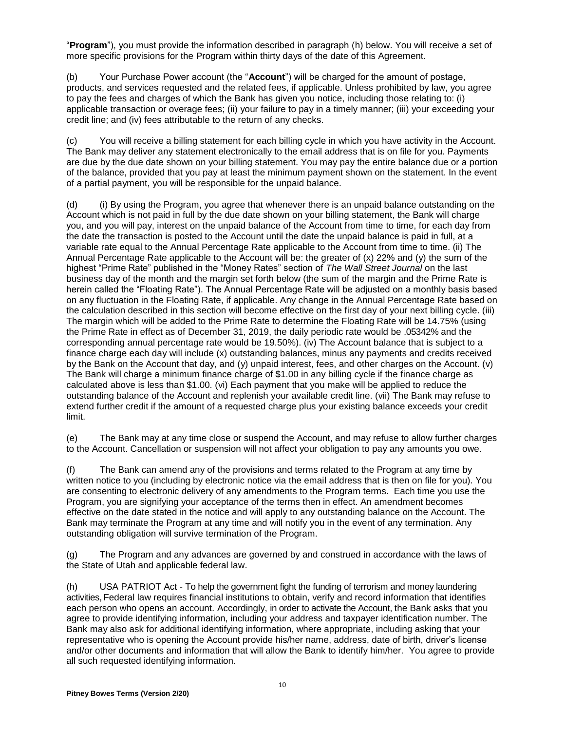"**Program**"), you must provide the information described in paragraph (h) below. You will receive a set of more specific provisions for the Program within thirty days of the date of this Agreement.

(b) Your Purchase Power account (the "**Account**") will be charged for the amount of postage, products, and services requested and the related fees, if applicable. Unless prohibited by law, you agree to pay the fees and charges of which the Bank has given you notice, including those relating to: (i) applicable transaction or overage fees; (ii) your failure to pay in a timely manner; (iii) your exceeding your credit line; and (iv) fees attributable to the return of any checks.

(c) You will receive a billing statement for each billing cycle in which you have activity in the Account. The Bank may deliver any statement electronically to the email address that is on file for you. Payments are due by the due date shown on your billing statement. You may pay the entire balance due or a portion of the balance, provided that you pay at least the minimum payment shown on the statement. In the event of a partial payment, you will be responsible for the unpaid balance.

(d) (i) By using the Program, you agree that whenever there is an unpaid balance outstanding on the Account which is not paid in full by the due date shown on your billing statement, the Bank will charge you, and you will pay, interest on the unpaid balance of the Account from time to time, for each day from the date the transaction is posted to the Account until the date the unpaid balance is paid in full, at a variable rate equal to the Annual Percentage Rate applicable to the Account from time to time. (ii) The Annual Percentage Rate applicable to the Account will be: the greater of (x) 22% and (y) the sum of the highest "Prime Rate" published in the "Money Rates" section of *The Wall Street Journal* on the last business day of the month and the margin set forth below (the sum of the margin and the Prime Rate is herein called the "Floating Rate"). The Annual Percentage Rate will be adjusted on a monthly basis based on any fluctuation in the Floating Rate, if applicable. Any change in the Annual Percentage Rate based on the calculation described in this section will become effective on the first day of your next billing cycle. (iii) The margin which will be added to the Prime Rate to determine the Floating Rate will be 14.75% (using the Prime Rate in effect as of December 31, 2019, the daily periodic rate would be .05342% and the corresponding annual percentage rate would be 19.50%). (iv) The Account balance that is subject to a finance charge each day will include (x) outstanding balances, minus any payments and credits received by the Bank on the Account that day, and (y) unpaid interest, fees, and other charges on the Account. (v) The Bank will charge a minimum finance charge of \$1.00 in any billing cycle if the finance charge as calculated above is less than \$1.00. (vi) Each payment that you make will be applied to reduce the outstanding balance of the Account and replenish your available credit line. (vii) The Bank may refuse to extend further credit if the amount of a requested charge plus your existing balance exceeds your credit limit.

(e) The Bank may at any time close or suspend the Account, and may refuse to allow further charges to the Account. Cancellation or suspension will not affect your obligation to pay any amounts you owe.

(f) The Bank can amend any of the provisions and terms related to the Program at any time by written notice to you (including by electronic notice via the email address that is then on file for you). You are consenting to electronic delivery of any amendments to the Program terms. Each time you use the Program, you are signifying your acceptance of the terms then in effect. An amendment becomes effective on the date stated in the notice and will apply to any outstanding balance on the Account. The Bank may terminate the Program at any time and will notify you in the event of any termination. Any outstanding obligation will survive termination of the Program.

(g) The Program and any advances are governed by and construed in accordance with the laws of the State of Utah and applicable federal law.

(h) USA PATRIOT Act - To help the government fight the funding of terrorism and money laundering activities, Federal law requires financial institutions to obtain, verify and record information that identifies each person who opens an account. Accordingly, in order to activate the Account, the Bank asks that you agree to provide identifying information, including your address and taxpayer identification number. The Bank may also ask for additional identifying information, where appropriate, including asking that your representative who is opening the Account provide his/her name, address, date of birth, driver's license and/or other documents and information that will allow the Bank to identify him/her. You agree to provide all such requested identifying information.